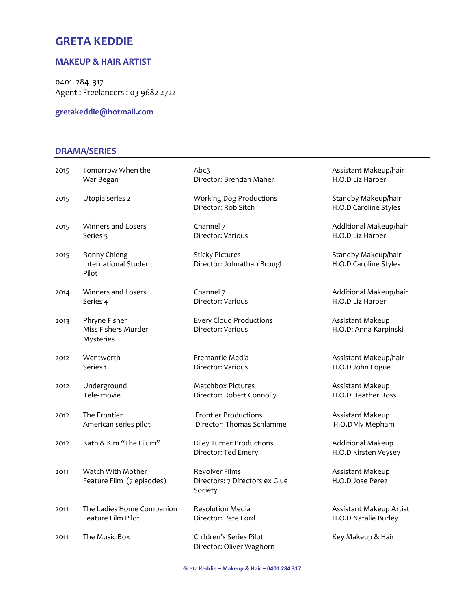# GRETA KEDDIE

#### MAKEUP & HAIR ARTIST

0401 284 317 Agent : Freelancers : 03 9682 2722

gretakeddie@hotmail.com

#### DRAMA/SERIES

| 2015 | Tomorrow When the                                     | Abc3                                                               | Assistant Makeup/hair                            |
|------|-------------------------------------------------------|--------------------------------------------------------------------|--------------------------------------------------|
|      | War Began                                             | Director: Brendan Maher                                            | H.O.D Liz Harper                                 |
| 2015 | Utopia series 2                                       | <b>Working Dog Productions</b><br>Director: Rob Sitch              | Standby Makeup/hair<br>H.O.D Caroline Styles     |
| 2015 | Winners and Losers                                    | Channel 7                                                          | Additional Makeup/hair                           |
|      | Series 5                                              | Director: Various                                                  | H.O.D Liz Harper                                 |
| 2015 | Ronny Chieng<br><b>International Student</b><br>Pilot | <b>Sticky Pictures</b><br>Director: Johnathan Brough               | Standby Makeup/hair<br>H.O.D Caroline Styles     |
| 2014 | Winners and Losers                                    | Channel 7                                                          | Additional Makeup/hair                           |
|      | Series 4                                              | Director: Various                                                  | H.O.D Liz Harper                                 |
| 2013 | Phryne Fisher<br>Miss Fishers Murder<br>Mysteries     | <b>Every Cloud Productions</b><br>Director: Various                | Assistant Makeup<br>H.O.D: Anna Karpinski        |
| 2012 | Wentworth                                             | Fremantle Media                                                    | Assistant Makeup/hair                            |
|      | Series 1                                              | Director: Various                                                  | H.O.D John Logue                                 |
| 2012 | Underground                                           | <b>Matchbox Pictures</b>                                           | Assistant Makeup                                 |
|      | Tele-movie                                            | Director: Robert Connolly                                          | H.O.D Heather Ross                               |
| 2012 | The Frontier                                          | <b>Frontier Productions</b>                                        | Assistant Makeup                                 |
|      | American series pilot                                 | Director: Thomas Schlamme                                          | H.O.D Viv Mepham                                 |
| 2012 | Kath & Kim "The Filum"                                | <b>Riley Turner Productions</b><br>Director: Ted Emery             | <b>Additional Makeup</b><br>H.O.D Kirsten Veysey |
| 2011 | Watch With Mother<br>Feature Film (7 episodes)        | <b>Revolver Films</b><br>Directors: 7 Directors ex Glue<br>Society | Assistant Makeup<br>H.O.D Jose Perez             |
| 2011 | The Ladies Home Companion                             | <b>Resolution Media</b>                                            | Assistant Makeup Artist                          |
|      | Feature Film Pilot                                    | Director: Pete Ford                                                | H.O.D Natalie Burley                             |
| 2011 | The Music Box                                         | Children's Series Pilot<br>Director: Oliver Waghorn                | Key Makeup & Hair                                |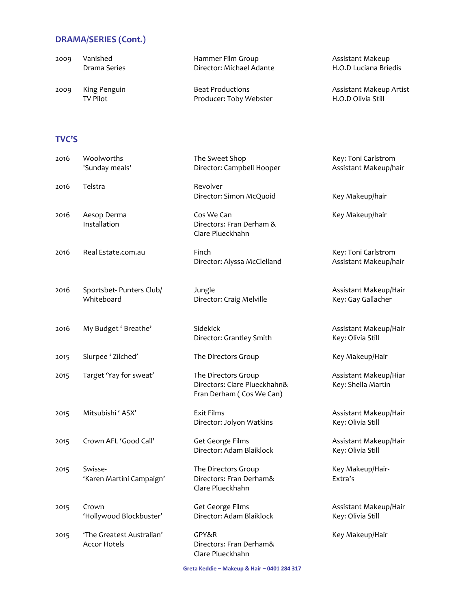# DRAMA/SERIES (Cont.)

| 2009 | Vanished     | Hammer Film Group        | Assistant Makeup        |
|------|--------------|--------------------------|-------------------------|
|      | Drama Series | Director: Michael Adante | H.O.D Luciana Briedis   |
| 2009 | King Penguin | <b>Beat Productions</b>  | Assistant Makeup Artist |
|      | TV Pilot     | Producer: Toby Webster   | H.O.D Olivia Still      |

#### TVC'S

| 2016 | Woolworths<br>'Sunday meals'                     | The Sweet Shop<br>Director: Campbell Hooper                                     | Key: Toni Carlstrom<br>Assistant Makeup/hair |
|------|--------------------------------------------------|---------------------------------------------------------------------------------|----------------------------------------------|
| 2016 | Telstra                                          | Revolver<br>Director: Simon McQuoid                                             | Key Makeup/hair                              |
| 2016 | Aesop Derma<br>Installation                      | Cos We Can<br>Directors: Fran Derham &<br>Clare Plueckhahn                      | Key Makeup/hair                              |
| 2016 | Real Estate.com.au                               | Finch<br>Director: Alyssa McClelland                                            | Key: Toni Carlstrom<br>Assistant Makeup/hair |
| 2016 | Sportsbet- Punters Club/<br>Whiteboard           | Jungle<br>Director: Craig Melville                                              | Assistant Makeup/Hair<br>Key: Gay Gallacher  |
| 2016 | My Budget ' Breathe'                             | Sidekick<br>Director: Grantley Smith                                            | Assistant Makeup/Hair<br>Key: Olivia Still   |
| 2015 | Slurpee ' Zilched'                               | The Directors Group                                                             | Key Makeup/Hair                              |
| 2015 | Target 'Yay for sweat'                           | The Directors Group<br>Directors: Clare Plueckhahn&<br>Fran Derham (Cos We Can) | Assistant Makeup/Hiar<br>Key: Shella Martin  |
| 2015 | Mitsubishi ' ASX'                                | <b>Exit Films</b><br>Director: Jolyon Watkins                                   | Assistant Makeup/Hair<br>Key: Olivia Still   |
| 2015 | Crown AFL 'Good Call'                            | Get George Films<br>Director: Adam Blaiklock                                    | Assistant Makeup/Hair<br>Key: Olivia Still   |
| 2015 | Swisse-<br>'Karen Martini Campaign'              | The Directors Group<br>Directors: Fran Derham&<br>Clare Plueckhahn              | Key Makeup/Hair-<br>Extra's                  |
| 2015 | Crown<br>'Hollywood Blockbuster'                 | Get George Films<br>Director: Adam Blaiklock                                    | Assistant Makeup/Hair<br>Key: Olivia Still   |
| 2015 | 'The Greatest Australian'<br><b>Accor Hotels</b> | GPY&R<br>Directors: Fran Derham&<br>Clare Plueckhahn                            | Key Makeup/Hair                              |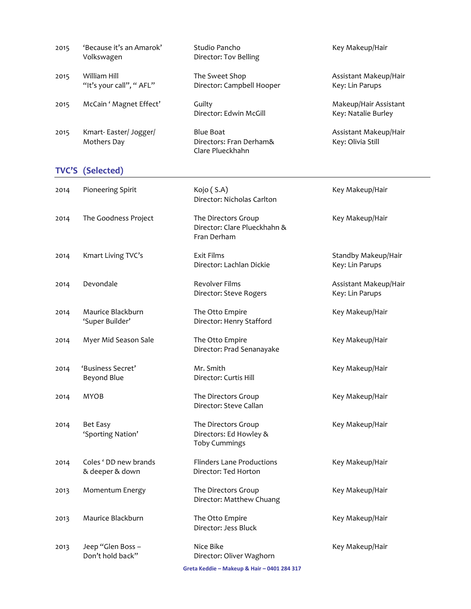| 2015 | 'Because it's an Amarok'<br>Volkswagen   | Studio Pancho<br>Director: Tov Belling                                | Key Makeup/Hair                              |
|------|------------------------------------------|-----------------------------------------------------------------------|----------------------------------------------|
| 2015 | William Hill<br>"It's your call", "AFL"  | The Sweet Shop<br>Director: Campbell Hooper                           | Assistant Makeup/Hair<br>Key: Lin Parups     |
| 2015 | McCain ' Magnet Effect'                  | Guilty<br>Director: Edwin McGill                                      | Makeup/Hair Assistant<br>Key: Natalie Burley |
| 2015 | Kmart-Easter/Jogger/<br>Mothers Day      | <b>Blue Boat</b><br>Directors: Fran Derham&<br>Clare Plueckhahn       | Assistant Makeup/Hair<br>Key: Olivia Still   |
|      | <b>TVC'S (Selected)</b>                  |                                                                       |                                              |
| 2014 | Pioneering Spirit                        | Kojo (S.A)<br>Director: Nicholas Carlton                              | Key Makeup/Hair                              |
| 2014 | The Goodness Project                     | The Directors Group<br>Director: Clare Plueckhahn &<br>Fran Derham    | Key Makeup/Hair                              |
| 2014 | Kmart Living TVC's                       | Exit Films<br>Director: Lachlan Dickie                                | Standby Makeup/Hair<br>Key: Lin Parups       |
| 2014 | Devondale                                | Revolver Films<br>Director: Steve Rogers                              | Assistant Makeup/Hair<br>Key: Lin Parups     |
| 2014 | Maurice Blackburn<br>'Super Builder'     | The Otto Empire<br>Director: Henry Stafford                           | Key Makeup/Hair                              |
| 2014 | Myer Mid Season Sale                     | The Otto Empire<br>Director: Prad Senanayake                          | Key Makeup/Hair                              |
| 2014 | 'Business Secret'<br>Beyond Blue         | Mr. Smith<br>Director: Curtis Hill                                    | Key Makeup/Hair                              |
| 2014 | <b>MYOB</b>                              | The Directors Group<br>Director: Steve Callan                         | Key Makeup/Hair                              |
| 2014 | Bet Easy<br>'Sporting Nation'            | The Directors Group<br>Directors: Ed Howley &<br><b>Toby Cummings</b> | Key Makeup/Hair                              |
| 2014 | Coles ' DD new brands<br>& deeper & down | <b>Flinders Lane Productions</b><br>Director: Ted Horton              | Key Makeup/Hair                              |
| 2013 | Momentum Energy                          | The Directors Group<br>Director: Matthew Chuang                       | Key Makeup/Hair                              |
| 2013 | Maurice Blackburn                        | The Otto Empire<br>Director: Jess Bluck                               | Key Makeup/Hair                              |
| 2013 | Jeep "Glen Boss -<br>Don't hold back"    | Nice Bike<br>Director: Oliver Waghorn                                 | Key Makeup/Hair                              |
|      |                                          | Greta Keddie - Makeup & Hair - 0401 284 317                           |                                              |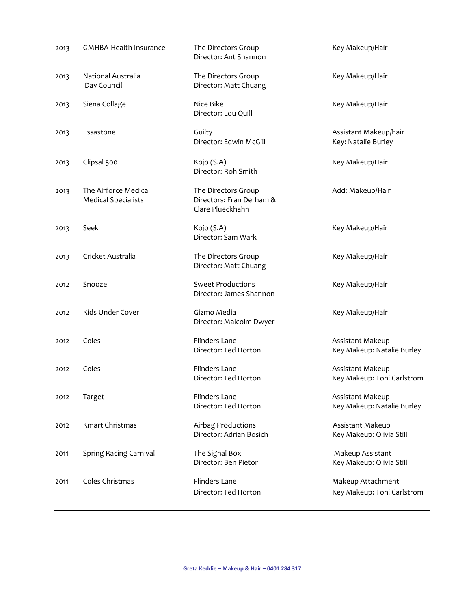| 2013 | <b>GMHBA Health Insurance</b>                      | The Directors Group<br>Director: Ant Shannon                        | Key Makeup/Hair                                 |
|------|----------------------------------------------------|---------------------------------------------------------------------|-------------------------------------------------|
| 2013 | National Australia<br>Day Council                  | The Directors Group<br>Director: Matt Chuang                        | Key Makeup/Hair                                 |
| 2013 | Siena Collage                                      | Nice Bike<br>Director: Lou Quill                                    | Key Makeup/Hair                                 |
| 2013 | Essastone                                          | Guilty<br>Director: Edwin McGill                                    | Assistant Makeup/hair<br>Key: Natalie Burley    |
| 2013 | Clipsal 500                                        | Kojo (S.A)<br>Director: Roh Smith                                   | Key Makeup/Hair                                 |
| 2013 | The Airforce Medical<br><b>Medical Specialists</b> | The Directors Group<br>Directors: Fran Derham &<br>Clare Plueckhahn | Add: Makeup/Hair                                |
| 2013 | Seek                                               | Kojo (S.A)<br>Director: Sam Wark                                    | Key Makeup/Hair                                 |
| 2013 | Cricket Australia                                  | The Directors Group<br>Director: Matt Chuang                        | Key Makeup/Hair                                 |
| 2012 | Snooze                                             | <b>Sweet Productions</b><br>Director: James Shannon                 | Key Makeup/Hair                                 |
| 2012 | Kids Under Cover                                   | Gizmo Media<br>Director: Malcolm Dwyer                              | Key Makeup/Hair                                 |
| 2012 | Coles                                              | Flinders Lane<br>Director: Ted Horton                               | Assistant Makeup<br>Key Makeup: Natalie Burley  |
| 2012 | Coles                                              | Flinders Lane<br>Director: Ted Horton                               | Assistant Makeup<br>Key Makeup: Toni Carlstrom  |
| 2012 | Target                                             | Flinders Lane<br>Director: Ted Horton                               | Assistant Makeup<br>Key Makeup: Natalie Burley  |
| 2012 | Kmart Christmas                                    | Airbag Productions<br>Director: Adrian Bosich                       | Assistant Makeup<br>Key Makeup: Olivia Still    |
| 2011 | Spring Racing Carnival                             | The Signal Box<br>Director: Ben Pietor                              | Makeup Assistant<br>Key Makeup: Olivia Still    |
| 2011 | Coles Christmas                                    | <b>Flinders Lane</b><br>Director: Ted Horton                        | Makeup Attachment<br>Key Makeup: Toni Carlstrom |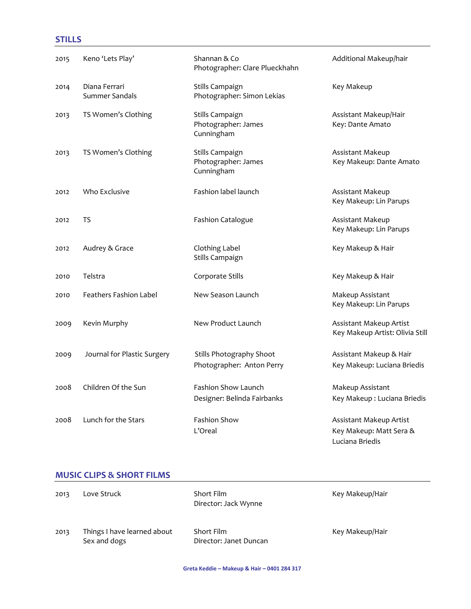## STILLS

| 2015 | Keno 'Lets Play'                | Shannan & Co<br>Photographer: Clare Plueckhahn        | Additional Makeup/hair                                                |
|------|---------------------------------|-------------------------------------------------------|-----------------------------------------------------------------------|
| 2014 | Diana Ferrari<br>Summer Sandals | Stills Campaign<br>Photographer: Simon Lekias         | Key Makeup                                                            |
| 2013 | TS Women's Clothing             | Stills Campaign<br>Photographer: James<br>Cunningham  | Assistant Makeup/Hair<br>Key: Dante Amato                             |
| 2013 | TS Women's Clothing             | Stills Campaign<br>Photographer: James<br>Cunningham  | Assistant Makeup<br>Key Makeup: Dante Amato                           |
| 2012 | Who Exclusive                   | Fashion label launch                                  | Assistant Makeup<br>Key Makeup: Lin Parups                            |
| 2012 | TS                              | <b>Fashion Catalogue</b>                              | Assistant Makeup<br>Key Makeup: Lin Parups                            |
| 2012 | Audrey & Grace                  | Clothing Label<br>Stills Campaign                     | Key Makeup & Hair                                                     |
| 2010 | Telstra                         | Corporate Stills                                      | Key Makeup & Hair                                                     |
| 2010 | Feathers Fashion Label          | New Season Launch                                     | Makeup Assistant<br>Key Makeup: Lin Parups                            |
| 2009 | Kevin Murphy                    | New Product Launch                                    | Assistant Makeup Artist<br>Key Makeup Artist: Olivia Still            |
| 2009 | Journal for Plastic Surgery     | Stills Photography Shoot<br>Photographer: Anton Perry | Assistant Makeup & Hair<br>Key Makeup: Luciana Briedis                |
| 2008 | Children Of the Sun             | Fashion Show Launch<br>Designer: Belinda Fairbanks    | Makeup Assistant<br>Key Makeup: Luciana Briedis                       |
| 2008 | Lunch for the Stars             | Fashion Show<br>L'Oreal                               | Assistant Makeup Artist<br>Key Makeup: Matt Sera &<br>Luciana Briedis |

### MUSIC CLIPS & SHORT FILMS

| 2013 | Love Struck                                 | Short Film<br>Director: Jack Wynne   | Key Makeup/Hair |
|------|---------------------------------------------|--------------------------------------|-----------------|
| 2013 | Things I have learned about<br>Sex and dogs | Short Film<br>Director: Janet Duncan | Key Makeup/Hair |

Greta Keddie – Makeup & Hair – 0401 284 317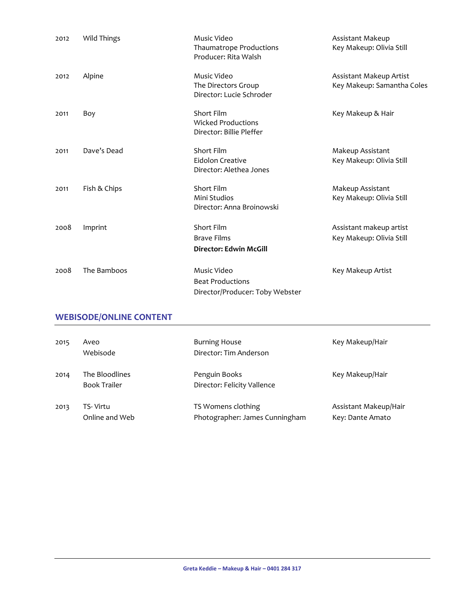| 2012 | Wild Things                    | Music Video<br><b>Thaumatrope Productions</b><br>Producer: Rita Walsh     | Assistant Makeup<br>Key Makeup: Olivia Still          |
|------|--------------------------------|---------------------------------------------------------------------------|-------------------------------------------------------|
| 2012 | Alpine                         | Music Video<br>The Directors Group<br>Director: Lucie Schroder            | Assistant Makeup Artist<br>Key Makeup: Samantha Coles |
| 2011 | Boy                            | Short Film<br><b>Wicked Productions</b><br>Director: Billie Pleffer       | Key Makeup & Hair                                     |
| 2011 | Dave's Dead                    | Short Film<br>Eidolon Creative<br>Director: Alethea Jones                 | Makeup Assistant<br>Key Makeup: Olivia Still          |
| 2011 | Fish & Chips                   | Short Film<br>Mini Studios<br>Director: Anna Broinowski                   | Makeup Assistant<br>Key Makeup: Olivia Still          |
| 2008 | Imprint                        | Short Film<br><b>Brave Films</b><br><b>Director: Edwin McGill</b>         | Assistant makeup artist<br>Key Makeup: Olivia Still   |
| 2008 | The Bamboos                    | Music Video<br><b>Beat Productions</b><br>Director/Producer: Toby Webster | Key Makeup Artist                                     |
|      | <b>WEBISODE/ONLINE CONTENT</b> |                                                                           |                                                       |
| 2015 | Aveo<br>Webisode               | <b>Burning House</b><br>Director: Tim Anderson                            | Key Makeup/Hair                                       |

| 2014 | The Bloodlines<br><b>Book Trailer</b> | Penguin Books<br>Director: Felicity Vallence | Key Makeup/Hair       |
|------|---------------------------------------|----------------------------------------------|-----------------------|
| 2013 | TS- Virtu                             | TS Womens clothing                           | Assistant Makeup/Hair |
|      | Online and Web                        | Photographer: James Cunningham               | Key: Dante Amato      |